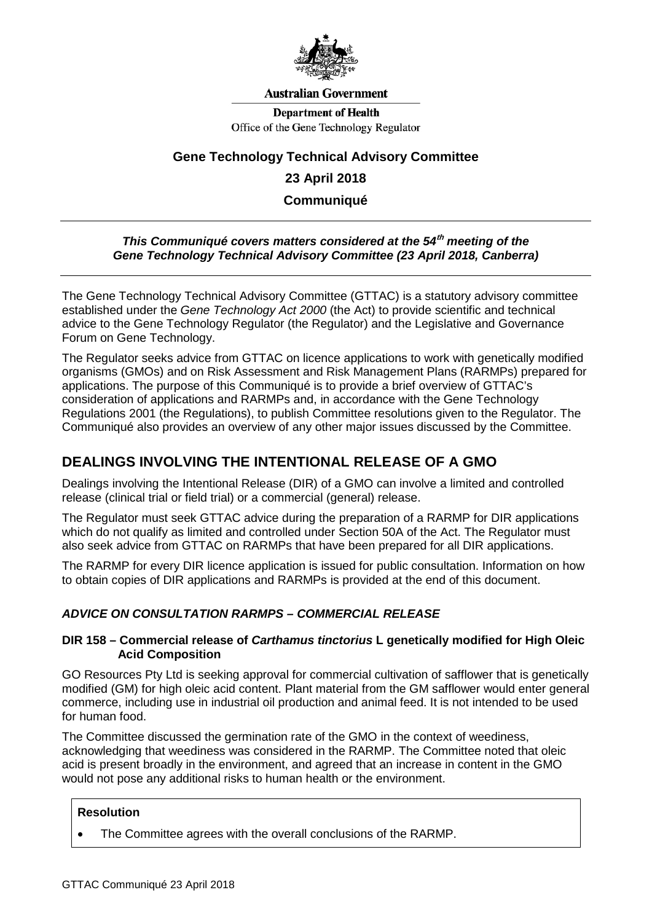

#### **Australian Government**

**Department of Health** Office of the Gene Technology Regulator

# **Gene Technology Technical Advisory Committee**

# **23 April 2018**

**Communiqué**

### *This Communiqué covers matters considered at the 54***th** *meeting of the Gene Technology Technical Advisory Committee (23 April 2018, Canberra)*

The Gene Technology Technical Advisory Committee (GTTAC) is a statutory advisory committee established under the *Gene Technology Act 2000* (the Act) to provide scientific and technical advice to the Gene Technology Regulator (the Regulator) and the Legislative and Governance Forum on Gene Technology.

The Regulator seeks advice from GTTAC on licence applications to work with genetically modified organisms (GMOs) and on Risk Assessment and Risk Management Plans (RARMPs) prepared for applications. The purpose of this Communiqué is to provide a brief overview of GTTAC's consideration of applications and RARMPs and, in accordance with the Gene Technology Regulations 2001 (the Regulations), to publish Committee resolutions given to the Regulator. The Communiqué also provides an overview of any other major issues discussed by the Committee.

# **DEALINGS INVOLVING THE INTENTIONAL RELEASE OF A GMO**

Dealings involving the Intentional Release (DIR) of a GMO can involve a limited and controlled release (clinical trial or field trial) or a commercial (general) release.

The Regulator must seek GTTAC advice during the preparation of a RARMP for DIR applications which do not qualify as limited and controlled under Section 50A of the Act. The Regulator must also seek advice from GTTAC on RARMPs that have been prepared for all DIR applications.

The RARMP for every DIR licence application is issued for public consultation. Information on how to obtain copies of DIR applications and RARMPs is provided at the end of this document.

# *ADVICE ON CONSULTATION RARMPS – COMMERCIAL RELEASE*

### **DIR 158 – Commercial release of** *Carthamus tinctorius* **L genetically modified for High Oleic Acid Composition**

GO Resources Pty Ltd is seeking approval for commercial cultivation of safflower that is genetically modified (GM) for high oleic acid content. Plant material from the GM safflower would enter general commerce, including use in industrial oil production and animal feed. It is not intended to be used for human food.

The Committee discussed the germination rate of the GMO in the context of weediness, acknowledging that weediness was considered in the RARMP. The Committee noted that oleic acid is present broadly in the environment, and agreed that an increase in content in the GMO would not pose any additional risks to human health or the environment.

### **Resolution**

• The Committee agrees with the overall conclusions of the RARMP.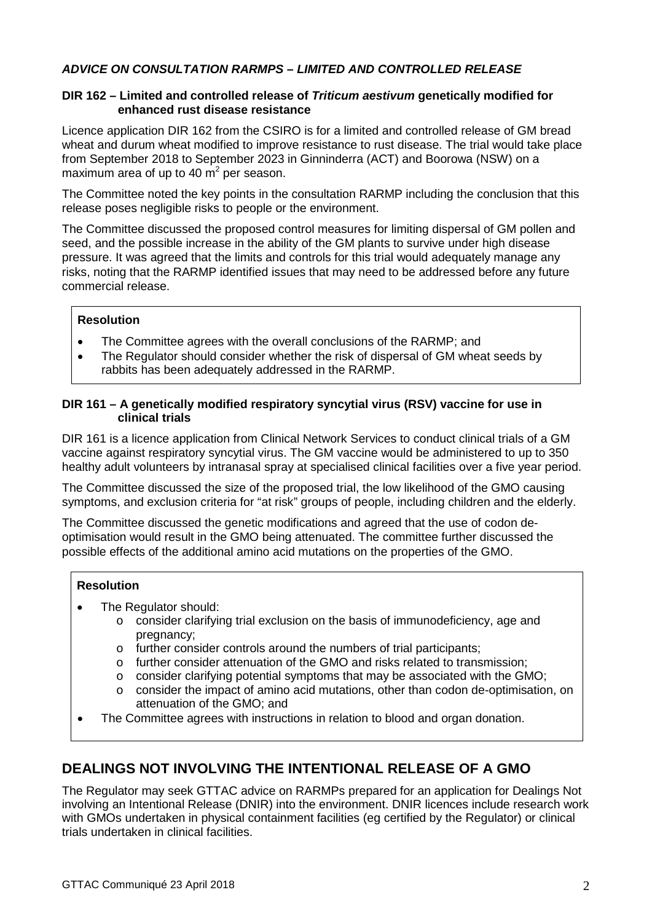# *ADVICE ON CONSULTATION RARMPS – LIMITED AND CONTROLLED RELEASE*

### **DIR 162 – Limited and controlled release of** *Triticum aestivum* **genetically modified for enhanced rust disease resistance**

Licence application DIR 162 from the CSIRO is for a limited and controlled release of GM bread wheat and durum wheat modified to improve resistance to rust disease. The trial would take place from September 2018 to September 2023 in Ginninderra (ACT) and Boorowa (NSW) on a maximum area of up to 40  $\text{m}^2$  per season.

The Committee noted the key points in the consultation RARMP including the conclusion that this release poses negligible risks to people or the environment.

The Committee discussed the proposed control measures for limiting dispersal of GM pollen and seed, and the possible increase in the ability of the GM plants to survive under high disease pressure. It was agreed that the limits and controls for this trial would adequately manage any risks, noting that the RARMP identified issues that may need to be addressed before any future commercial release.

## **Resolution**

- The Committee agrees with the overall conclusions of the RARMP; and
- The Regulator should consider whether the risk of dispersal of GM wheat seeds by rabbits has been adequately addressed in the RARMP.

## **DIR 161 – A genetically modified respiratory syncytial virus (RSV) vaccine for use in clinical trials**

DIR 161 is a licence application from Clinical Network Services to conduct clinical trials of a GM vaccine against respiratory syncytial virus. The GM vaccine would be administered to up to 350 healthy adult volunteers by intranasal spray at specialised clinical facilities over a five year period.

The Committee discussed the size of the proposed trial, the low likelihood of the GMO causing symptoms, and exclusion criteria for "at risk" groups of people, including children and the elderly.

The Committee discussed the genetic modifications and agreed that the use of codon deoptimisation would result in the GMO being attenuated. The committee further discussed the possible effects of the additional amino acid mutations on the properties of the GMO.

### **Resolution**

- The Regulator should:
	- o consider clarifying trial exclusion on the basis of immunodeficiency, age and pregnancy;
	- o further consider controls around the numbers of trial participants;
	- o further consider attenuation of the GMO and risks related to transmission;
	- $\circ$  consider clarifying potential symptoms that may be associated with the GMO;<br> $\circ$  consider the impact of amino acid mutations, other than codon de-optimisation
	- consider the impact of amino acid mutations, other than codon de-optimisation, on attenuation of the GMO; and
- The Committee agrees with instructions in relation to blood and organ donation.

# **DEALINGS NOT INVOLVING THE INTENTIONAL RELEASE OF A GMO**

The Regulator may seek GTTAC advice on RARMPs prepared for an application for Dealings Not involving an Intentional Release (DNIR) into the environment. DNIR licences include research work with GMOs undertaken in physical containment facilities (eg certified by the Regulator) or clinical trials undertaken in clinical facilities.